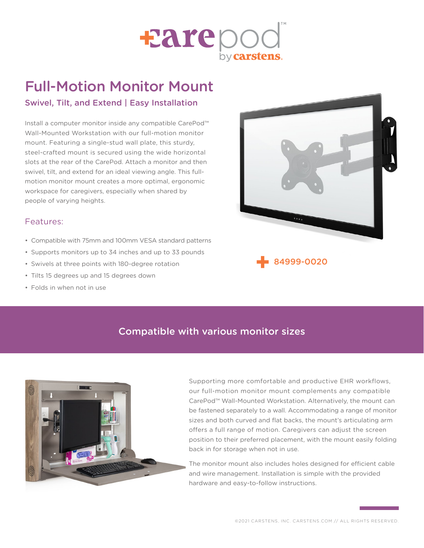

# Full-Motion Monitor Mount

### Swivel, Tilt, and Extend | Easy Installation

Install a computer monitor inside any compatible CarePod™ Wall-Mounted Workstation with our full-motion monitor mount. Featuring a single-stud wall plate, this sturdy, steel-crafted mount is secured using the wide horizontal slots at the rear of the CarePod. Attach a monitor and then swivel, tilt, and extend for an ideal viewing angle. This fullmotion monitor mount creates a more optimal, ergonomic workspace for caregivers, especially when shared by people of varying heights.

#### Features:

- Compatible with 75mm and 100mm VESA standard patterns
- Supports monitors up to 34 inches and up to 33 pounds
- Swivels at three points with 180-degree rotation
- Tilts 15 degrees up and 15 degrees down
- Folds in when not in use



## [84999-0020](file:https://carstens.com/products/84999-0020)

### Compatible with various monitor sizes



[Su](file:https://carstens.com/products/84999-0020)pporting more comfortable and productive EHR workflows, our full-motion monitor mount complements any compatible CarePod™ Wall-Mounted Workstation. Alternatively, the mount can be fastened separately to a wall. Accommodating a range of monitor sizes and both curved and flat backs, the mount's articulating arm offers a full range of motion. Caregivers can adjust the screen position to their preferred placement, with the mount easily folding back in for storage when not in use.

The monitor mount also includes holes designed for efficient cable and wire management. Installation is simple with the provided hardware and easy-to-follow instructions.